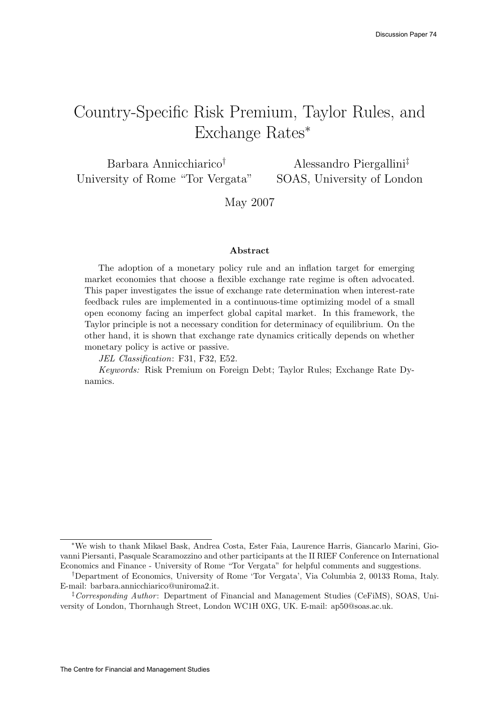# Country-Specific Risk Premium, Taylor Rules, and Exchange Rates<sup>∗</sup>

Barbara Annicchiarico† University of Rome "Tor Vergata" Alessandro Piergallini‡ SOAS, University of London

May 2007

#### Abstract

The adoption of a monetary policy rule and an inflation target for emerging market economies that choose a flexible exchange rate regime is often advocated. This paper investigates the issue of exchange rate determination when interest-rate feedback rules are implemented in a continuous-time optimizing model of a small open economy facing an imperfect global capital market. In this framework, the Taylor principle is not a necessary condition for determinacy of equilibrium. On the other hand, it is shown that exchange rate dynamics critically depends on whether monetary policy is active or passive.

JEL Classification: F31, F32, E52.

Keywords: Risk Premium on Foreign Debt; Taylor Rules; Exchange Rate Dynamics.

<sup>∗</sup>We wish to thank Mikael Bask, Andrea Costa, Ester Faia, Laurence Harris, Giancarlo Marini, Giovanni Piersanti, Pasquale Scaramozzino and other participants at the II RIEF Conference on International Economics and Finance - University of Rome "Tor Vergata" for helpful comments and suggestions.

<sup>†</sup>Department of Economics, University of Rome 'Tor Vergata', Via Columbia 2, 00133 Roma, Italy. E-mail: barbara.annicchiarico@uniroma2.it.

<sup>&</sup>lt;sup> $\ddagger$ </sup> Corresponding Author: Department of Financial and Management Studies (CeFiMS), SOAS, University of London, Thornhaugh Street, London WC1H 0XG, UK. E-mail: ap50@soas.ac.uk.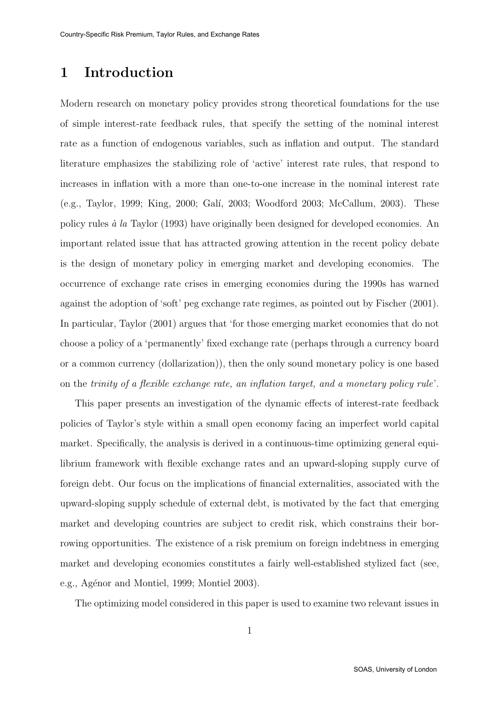## 1 Introduction

Modern research on monetary policy provides strong theoretical foundations for the use of simple interest-rate feedback rules, that specify the setting of the nominal interest rate as a function of endogenous variables, such as inflation and output. The standard literature emphasizes the stabilizing role of 'active' interest rate rules, that respond to increases in inflation with a more than one-to-one increase in the nominal interest rate (e.g., Taylor, 1999; King, 2000; Gal´ı, 2003; Woodford 2003; McCallum, 2003). These policy rules  $\dot{a}$  la Taylor (1993) have originally been designed for developed economies. An important related issue that has attracted growing attention in the recent policy debate is the design of monetary policy in emerging market and developing economies. The occurrence of exchange rate crises in emerging economies during the 1990s has warned against the adoption of 'soft' peg exchange rate regimes, as pointed out by Fischer (2001). In particular, Taylor (2001) argues that 'for those emerging market economies that do not choose a policy of a 'permanently' fixed exchange rate (perhaps through a currency board or a common currency (dollarization)), then the only sound monetary policy is one based on the trinity of a flexible exchange rate, an inflation target, and a monetary policy rule'.

This paper presents an investigation of the dynamic effects of interest-rate feedback policies of Taylor's style within a small open economy facing an imperfect world capital market. Specifically, the analysis is derived in a continuous-time optimizing general equilibrium framework with flexible exchange rates and an upward-sloping supply curve of foreign debt. Our focus on the implications of financial externalities, associated with the upward-sloping supply schedule of external debt, is motivated by the fact that emerging market and developing countries are subject to credit risk, which constrains their borrowing opportunities. The existence of a risk premium on foreign indebtness in emerging market and developing economies constitutes a fairly well-established stylized fact (see, e.g., Agénor and Montiel, 1999; Montiel 2003).

The optimizing model considered in this paper is used to examine two relevant issues in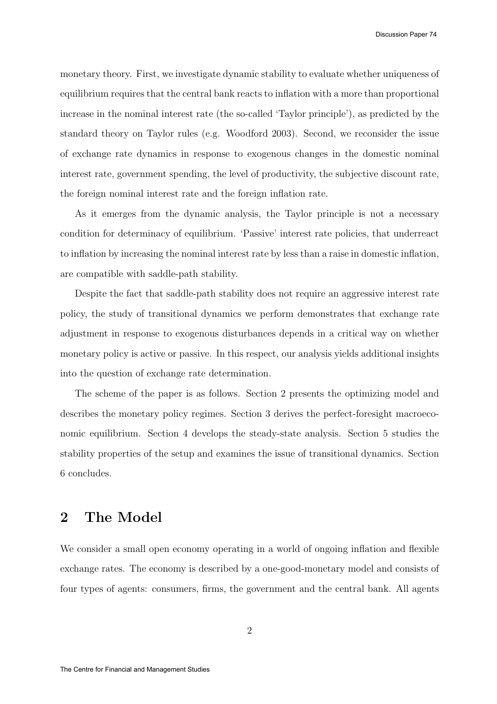monetary theory. First, we investigate dynamic stability to evaluate whether uniqueness of equilibrium requires that the central bank reacts to inflation with a more than proportional increase in the nominal interest rate (the so-called 'Taylor principle'), as predicted by the standard theory on Taylor rules (e.g. Woodford 2003). Second, we reconsider the issue of exchange rate dynamics in response to exogenous changes in the domestic nominal interest rate, government spending, the level of productivity, the subjective discount rate, the foreign nominal interest rate and the foreign inflation rate.

As it emerges from the dynamic analysis, the Taylor principle is not a necessary condition for determinacy of equilibrium. 'Passive' interest rate policies, that underreact to inflation by increasing the nominal interest rate by less than a raise in domestic inflation, are compatible with saddle-path stability.

Despite the fact that saddle-path stability does not require an aggressive interest rate policy, the study of transitional dynamics we perform demonstrates that exchange rate adjustment in response to exogenous disturbances depends in a critical way on whether monetary policy is active or passive. In this respect, our analysis yields additional insights into the question of exchange rate determination.

The scheme of the paper is as follows. Section 2 presents the optimizing model and describes the monetary policy regimes. Section 3 derives the perfect-foresight macroeconomic equilibrium. Section 4 develops the steady-state analysis. Section 5 studies the stability properties of the setup and examines the issue of transitional dynamics. Section 6 concludes.

### 2 The Model

We consider a small open economy operating in a world of ongoing inflation and flexible exchange rates. The economy is described by a one-good-monetary model and consists of four types of agents: consumers, firms, the government and the central bank. All agents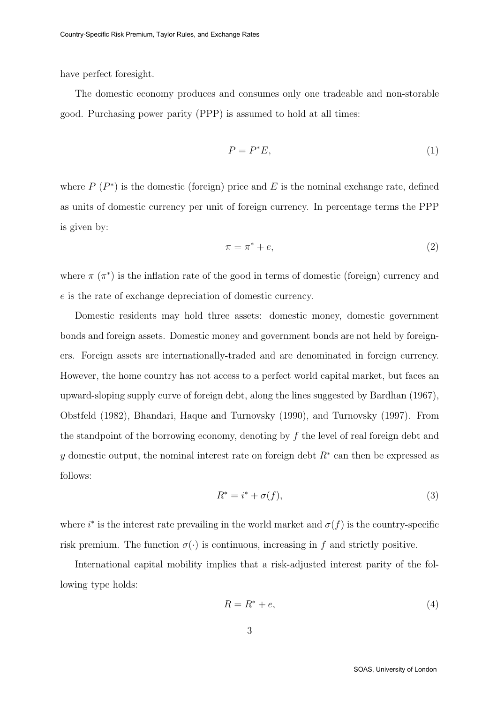have perfect foresight.

The domestic economy produces and consumes only one tradeable and non-storable good. Purchasing power parity (PPP) is assumed to hold at all times:

$$
P = P^*E,\tag{1}
$$

where  $P(P^*)$  is the domestic (foreign) price and E is the nominal exchange rate, defined as units of domestic currency per unit of foreign currency. In percentage terms the PPP is given by:

$$
\pi = \pi^* + e,\tag{2}
$$

where  $\pi(\pi^*)$  is the inflation rate of the good in terms of domestic (foreign) currency and e is the rate of exchange depreciation of domestic currency.

Domestic residents may hold three assets: domestic money, domestic government bonds and foreign assets. Domestic money and government bonds are not held by foreigners. Foreign assets are internationally-traded and are denominated in foreign currency. However, the home country has not access to a perfect world capital market, but faces an upward-sloping supply curve of foreign debt, along the lines suggested by Bardhan (1967), Obstfeld (1982), Bhandari, Haque and Turnovsky (1990), and Turnovsky (1997). From the standpoint of the borrowing economy, denoting by f the level of real foreign debt and y domestic output, the nominal interest rate on foreign debt  $R^*$  can then be expressed as follows:

$$
R^* = i^* + \sigma(f),\tag{3}
$$

where  $i^*$  is the interest rate prevailing in the world market and  $\sigma(f)$  is the country-specific risk premium. The function  $\sigma(\cdot)$  is continuous, increasing in f and strictly positive.

International capital mobility implies that a risk-adjusted interest parity of the following type holds:

$$
R = R^* + e,\tag{4}
$$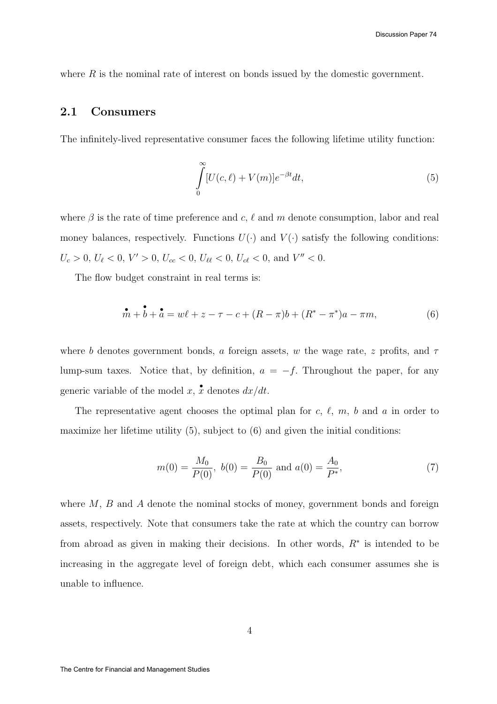where  $R$  is the nominal rate of interest on bonds issued by the domestic government.

#### 2.1 Consumers

The infinitely-lived representative consumer faces the following lifetime utility function:

$$
\int_{0}^{\infty} [U(c,\ell) + V(m)]e^{-\beta t}dt,
$$
\n(5)

where  $\beta$  is the rate of time preference and c,  $\ell$  and m denote consumption, labor and real money balances, respectively. Functions  $U(\cdot)$  and  $V(\cdot)$  satisfy the following conditions:  $U_c > 0, U_{\ell} < 0, V' > 0, U_{cc} < 0, U_{\ell\ell} < 0, U_{c\ell} < 0, \text{ and } V'' < 0.$ 

The flow budget constraint in real terms is:

$$
\stackrel{\bullet}{m} + \stackrel{\bullet}{b} + \stackrel{\bullet}{a} = w\ell + z - \tau - c + (R - \pi)b + (R^* - \pi^*)a - \pi m,\tag{6}
$$

where b denotes government bonds, a foreign assets, w the wage rate, z profits, and  $\tau$ lump-sum taxes. Notice that, by definition,  $a = -f$ . Throughout the paper, for any generic variable of the model x,  $\overset{\bullet}{x}$  denotes  $dx/dt$ .

The representative agent chooses the optimal plan for  $c, \ell, m, b$  and a in order to maximize her lifetime utility  $(5)$ , subject to  $(6)$  and given the initial conditions:

$$
m(0) = \frac{M_0}{P(0)}, \ b(0) = \frac{B_0}{P(0)} \text{ and } a(0) = \frac{A_0}{P^*},\tag{7}
$$

where  $M$ ,  $B$  and  $A$  denote the nominal stocks of money, government bonds and foreign assets, respectively. Note that consumers take the rate at which the country can borrow from abroad as given in making their decisions. In other words,  $R^*$  is intended to be increasing in the aggregate level of foreign debt, which each consumer assumes she is unable to influence.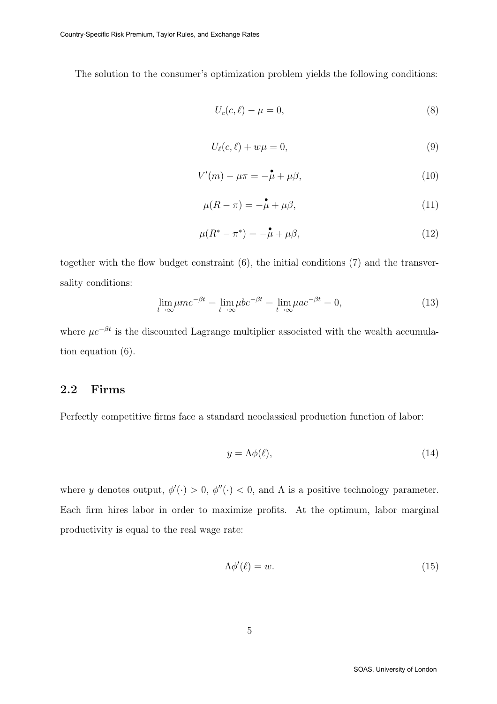The solution to the consumer's optimization problem yields the following conditions:

$$
U_c(c,\ell) - \mu = 0,\t\t(8)
$$

$$
U_{\ell}(c,\ell) + w\mu = 0,\t\t(9)
$$

$$
V'(m) - \mu \pi = -\overset{\bullet}{\mu} + \mu \beta,\tag{10}
$$

$$
\mu(R - \pi) = -\mu + \mu\beta,\tag{11}
$$

$$
\mu(R^* - \pi^*) = -\stackrel{\bullet}{\mu} + \mu\beta,\tag{12}
$$

together with the flow budget constraint (6), the initial conditions (7) and the transversality conditions:

$$
\lim_{t \to \infty} \mu m e^{-\beta t} = \lim_{t \to \infty} \mu b e^{-\beta t} = \lim_{t \to \infty} \mu a e^{-\beta t} = 0,
$$
\n(13)

where  $\mu e^{-\beta t}$  is the discounted Lagrange multiplier associated with the wealth accumulation equation (6).

#### 2.2 Firms

Perfectly competitive firms face a standard neoclassical production function of labor:

$$
y = \Lambda \phi(\ell),\tag{14}
$$

where y denotes output,  $\phi'(\cdot) > 0$ ,  $\phi''(\cdot) < 0$ , and  $\Lambda$  is a positive technology parameter. Each firm hires labor in order to maximize profits. At the optimum, labor marginal productivity is equal to the real wage rate:

$$
\Lambda \phi'(\ell) = w. \tag{15}
$$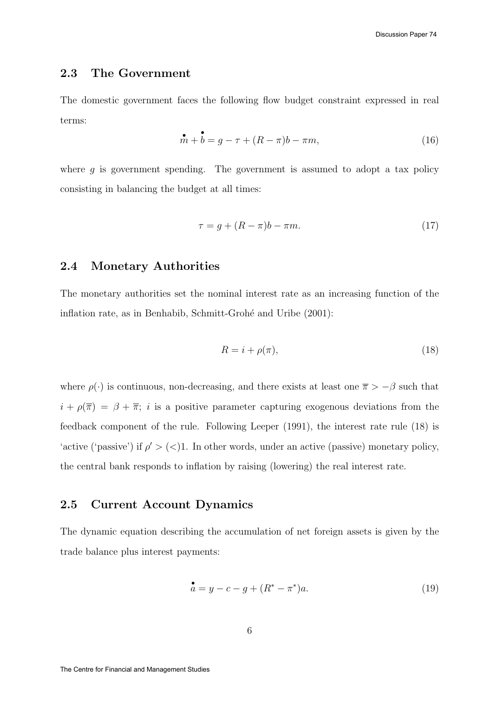#### 2.3 The Government

The domestic government faces the following flow budget constraint expressed in real terms:

$$
\stackrel{\bullet}{m} + \stackrel{\bullet}{b} = g - \tau + (R - \pi)b - \pi m,\tag{16}
$$

where  $g$  is government spending. The government is assumed to adopt a tax policy consisting in balancing the budget at all times:

$$
\tau = g + (R - \pi)b - \pi m. \tag{17}
$$

#### 2.4 Monetary Authorities

The monetary authorities set the nominal interest rate as an increasing function of the inflation rate, as in Benhabib, Schmitt-Grohé and Uribe (2001):

$$
R = i + \rho(\pi),\tag{18}
$$

where  $\rho(\cdot)$  is continuous, non-decreasing, and there exists at least one  $\bar{\pi} > -\beta$  such that  $i + \rho(\overline{\pi}) = \beta + \overline{\pi}$ ; *i* is a positive parameter capturing exogenous deviations from the feedback component of the rule. Following Leeper (1991), the interest rate rule (18) is 'active ('passive') if  $\rho' > (<1$ . In other words, under an active (passive) monetary policy, the central bank responds to inflation by raising (lowering) the real interest rate.

#### 2.5 Current Account Dynamics

The dynamic equation describing the accumulation of net foreign assets is given by the trade balance plus interest payments:

$$
\stackrel{\bullet}{a} = y - c - g + (R^* - \pi^*)a. \tag{19}
$$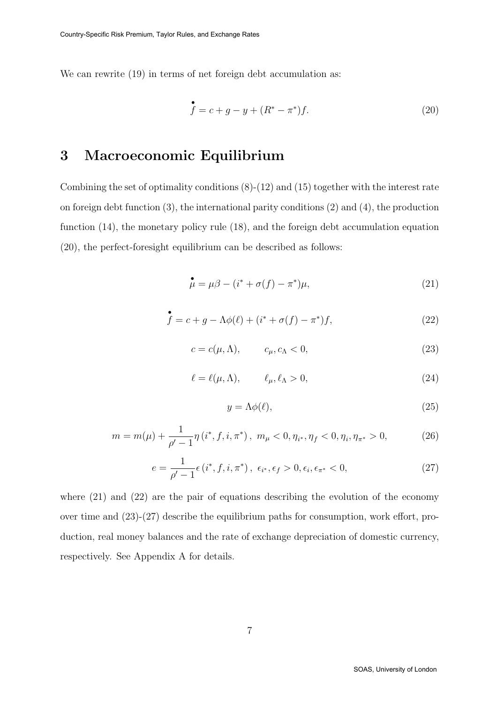We can rewrite  $(19)$  in terms of net foreign debt accumulation as:

$$
\stackrel{\bullet}{f} = c + g - y + (R^* - \pi^*)f. \tag{20}
$$

### 3 Macroeconomic Equilibrium

Combining the set of optimality conditions (8)-(12) and (15) together with the interest rate on foreign debt function (3), the international parity conditions (2) and (4), the production function (14), the monetary policy rule (18), and the foreign debt accumulation equation (20), the perfect-foresight equilibrium can be described as follows:

$$
\stackrel{\bullet}{\mu} = \mu \beta - (i^* + \sigma(f) - \pi^*)\mu,\tag{21}
$$

$$
\stackrel{\bullet}{f} = c + g - \Lambda \phi(\ell) + (i^* + \sigma(f) - \pi^*)f,\tag{22}
$$

$$
c = c(\mu, \Lambda), \qquad c_{\mu}, c_{\Lambda} < 0,\tag{23}
$$

$$
\ell = \ell(\mu, \Lambda), \qquad \ell_{\mu}, \ell_{\Lambda} > 0, \tag{24}
$$

$$
y = \Lambda \phi(\ell),\tag{25}
$$

$$
m = m(\mu) + \frac{1}{\rho' - 1} \eta \left( i^*, f, i, \pi^* \right), \ m_\mu < 0, \eta_{i^*}, \eta_f < 0, \eta_i, \eta_{\pi^*} > 0,\tag{26}
$$

$$
e = \frac{1}{\rho' - 1} \epsilon \left( i^*, f, i, \pi^* \right), \ \epsilon_{i^*}, \epsilon_f > 0, \epsilon_i, \epsilon_{\pi^*} < 0, \tag{27}
$$

where (21) and (22) are the pair of equations describing the evolution of the economy over time and (23)-(27) describe the equilibrium paths for consumption, work effort, production, real money balances and the rate of exchange depreciation of domestic currency, respectively. See Appendix A for details.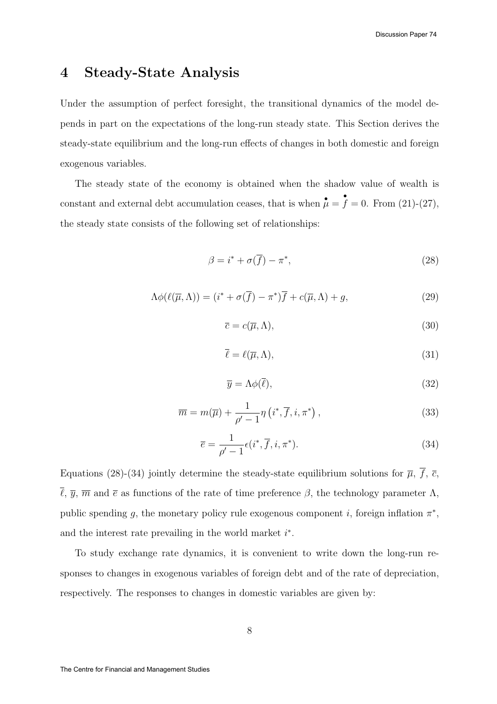### 4 Steady-State Analysis

Under the assumption of perfect foresight, the transitional dynamics of the model depends in part on the expectations of the long-run steady state. This Section derives the steady-state equilibrium and the long-run effects of changes in both domestic and foreign exogenous variables.

The steady state of the economy is obtained when the shadow value of wealth is constant and external debt accumulation ceases, that is when  $\stackrel{\bullet}{\mu} =$ •  $f = 0$ . From  $(21)-(27)$ , the steady state consists of the following set of relationships:

$$
\beta = i^* + \sigma(\overline{f}) - \pi^*,\tag{28}
$$

$$
\Lambda \phi(\ell(\overline{\mu}, \Lambda)) = (i^* + \sigma(\overline{f}) - \pi^*)\overline{f} + c(\overline{\mu}, \Lambda) + g,\tag{29}
$$

$$
\overline{c} = c(\overline{\mu}, \Lambda),\tag{30}
$$

$$
\overline{\ell} = \ell(\overline{\mu}, \Lambda),\tag{31}
$$

$$
\overline{y} = \Lambda \phi(\overline{\ell}),\tag{32}
$$

$$
\overline{m} = m(\overline{\mu}) + \frac{1}{\rho' - 1} \eta \left( i^*, \overline{f}, i, \pi^* \right), \tag{33}
$$

$$
\overline{e} = \frac{1}{\rho' - 1} \epsilon(i^*, \overline{f}, i, \pi^*).
$$
\n(34)

Equations (28)-(34) jointly determine the steady-state equilibrium solutions for  $\overline{\mu}$ ,  $\overline{f}$ ,  $\overline{c}$ ,  $\bar{\ell}, \bar{y}, \bar{m}$  and  $\bar{e}$  as functions of the rate of time preference  $\beta$ , the technology parameter  $\Lambda$ , public spending g, the monetary policy rule exogenous component *i*, foreign inflation  $\pi^*$ , and the interest rate prevailing in the world market  $i^*$ .

To study exchange rate dynamics, it is convenient to write down the long-run responses to changes in exogenous variables of foreign debt and of the rate of depreciation, respectively. The responses to changes in domestic variables are given by: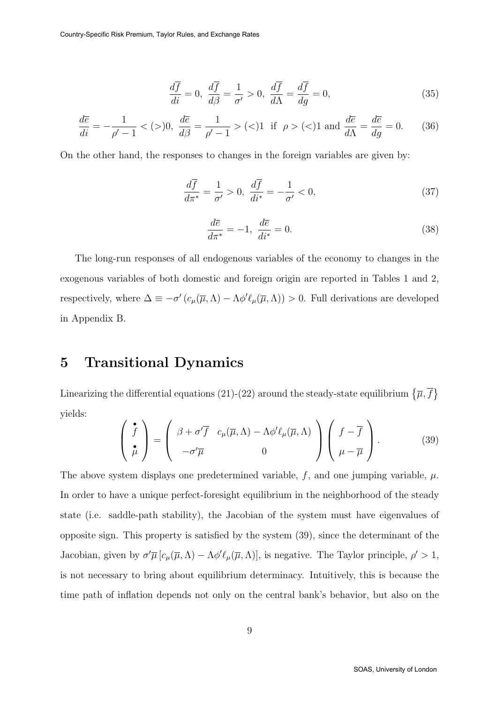$$
\frac{d\overline{f}}{di} = 0, \quad \frac{d\overline{f}}{d\beta} = \frac{1}{\sigma'} > 0, \quad \frac{d\overline{f}}{d\Lambda} = \frac{d\overline{f}}{dg} = 0,\tag{35}
$$

$$
\frac{d\overline{e}}{di} = -\frac{1}{\rho' - 1} < (>)0, \quad \frac{d\overline{e}}{d\beta} = \frac{1}{\rho' - 1} > (>)1 \quad \text{if } \rho > (>)1 \text{ and } \frac{d\overline{e}}{d\Lambda} = \frac{d\overline{e}}{dg} = 0. \tag{36}
$$

On the other hand, the responses to changes in the foreign variables are given by:

$$
\frac{d\overline{f}}{d\pi^*} = \frac{1}{\sigma'} > 0, \quad \frac{d\overline{f}}{di^*} = -\frac{1}{\sigma'} < 0,\tag{37}
$$

$$
\frac{d\overline{e}}{d\pi^*} = -1, \ \frac{d\overline{e}}{di^*} = 0.
$$
\n(38)

The long-run responses of all endogenous variables of the economy to changes in the exogenous variables of both domestic and foreign origin are reported in Tables 1 and 2, respectively, where  $\Delta \equiv -\sigma' (c_{\mu}(\overline{\mu}, \Lambda) - \Lambda \phi' \ell_{\mu}(\overline{\mu}, \Lambda)) > 0$ . Full derivations are developed in Appendix B.

### 5 Transitional Dynamics

Linearizing the differential equations (21)-(22) around the steady-state equilibrium  $\{\overline{\mu}, \overline{f}\}$ yields:

$$
\begin{pmatrix}\n\mathbf{\dot{f}} \\
\mathbf{\dot{\mu}}\n\end{pmatrix} = \begin{pmatrix}\n\beta + \sigma'\overline{f} & c_{\mu}(\overline{\mu}, \Lambda) - \Lambda \phi' \ell_{\mu}(\overline{\mu}, \Lambda) \\
-\sigma'\overline{\mu} & 0\n\end{pmatrix} \begin{pmatrix}\nf - \overline{f} \\
\mu - \overline{\mu}\n\end{pmatrix}.
$$
\n(39)

The above system displays one predetermined variable,  $f$ , and one jumping variable,  $\mu$ . In order to have a unique perfect-foresight equilibrium in the neighborhood of the steady state (i.e. saddle-path stability), the Jacobian of the system must have eigenvalues of opposite sign. This property is satisfied by the system (39), since the determinant of the Jacobian, given by  $\sigma'\overline{\mu}\left[c_{\mu}(\overline{\mu},\Lambda)-\Lambda\phi'\ell_{\mu}(\overline{\mu},\Lambda)\right]$ , is negative. The Taylor principle,  $\rho' > 1$ , is not necessary to bring about equilibrium determinacy. Intuitively, this is because the time path of inflation depends not only on the central bank's behavior, but also on the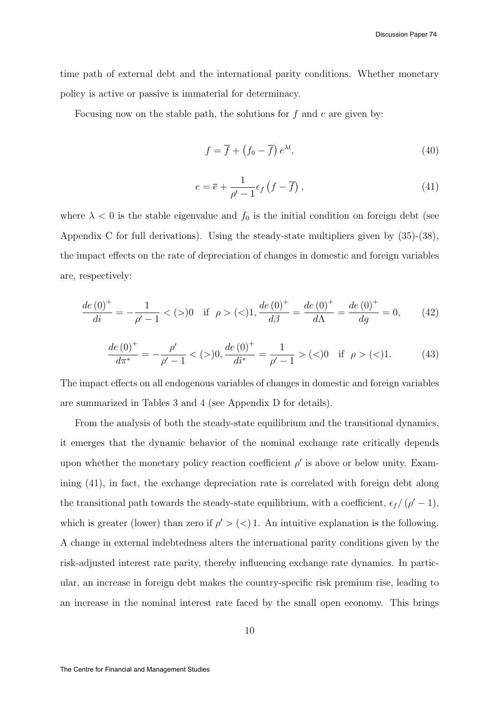time path of external debt and the international parity conditions. Whether monetary policy is active or passive is immaterial for determinacy.

Focusing now on the stable path, the solutions for  $f$  and  $e$  are given by:

$$
f = \overline{f} + (f_0 - \overline{f}) e^{\lambda t}, \tag{40}
$$

$$
e = \overline{e} + \frac{1}{\rho' - 1} \epsilon_f \left( f - \overline{f} \right),\tag{41}
$$

where  $\lambda < 0$  is the stable eigenvalue and  $f_0$  is the initial condition on foreign debt (see Appendix C for full derivations). Using the steady-state multipliers given by (35)-(38), the impact effects on the rate of depreciation of changes in domestic and foreign variables are, respectively:

$$
\frac{de(0)^{+}}{di} = -\frac{1}{\rho' - 1} < (>)0 \quad \text{if } \rho > (>)1, \n\frac{de(0)^{+}}{d\beta} = \frac{de(0)^{+}}{d\Lambda} = \frac{de(0)^{+}}{dg} = 0,\n\tag{42}
$$

$$
\frac{de(0)^{+}}{d\pi^{*}} = -\frac{\rho'}{\rho' - 1} < (-)0, \frac{de(0)^{+}}{di^{*}} = \frac{1}{\rho' - 1} > (-)0 \quad \text{if } \rho > (-)1. \tag{43}
$$

The impact effects on all endogenous variables of changes in domestic and foreign variables are summarized in Tables 3 and 4 (see Appendix D for details).

From the analysis of both the steady-state equilibrium and the transitional dynamics, it emerges that the dynamic behavior of the nominal exchange rate critically depends upon whether the monetary policy reaction coefficient  $\rho'$  is above or below unity. Examining (41), in fact, the exchange depreciation rate is correlated with foreign debt along the transitional path towards the steady-state equilibrium, with a coefficient,  $\epsilon_f/(\rho'-1)$ , which is greater (lower) than zero if  $\rho' > (<) 1$ . An intuitive explanation is the following. A change in external indebtedness alters the international parity conditions given by the risk-adjusted interest rate parity, thereby influencing exchange rate dynamics. In particular, an increase in foreign debt makes the country-specific risk premium rise, leading to an increase in the nominal interest rate faced by the small open economy. This brings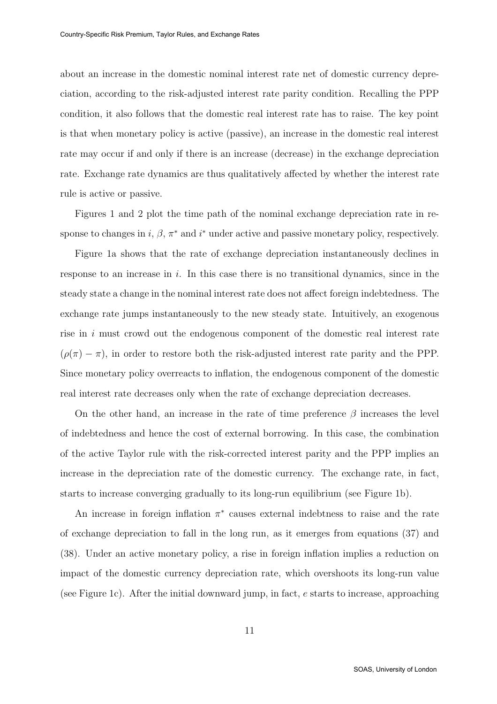about an increase in the domestic nominal interest rate net of domestic currency depreciation, according to the risk-adjusted interest rate parity condition. Recalling the PPP condition, it also follows that the domestic real interest rate has to raise. The key point is that when monetary policy is active (passive), an increase in the domestic real interest rate may occur if and only if there is an increase (decrease) in the exchange depreciation rate. Exchange rate dynamics are thus qualitatively affected by whether the interest rate rule is active or passive.

Figures 1 and 2 plot the time path of the nominal exchange depreciation rate in response to changes in i,  $\beta$ ,  $\pi^*$  and i<sup>\*</sup> under active and passive monetary policy, respectively.

Figure 1a shows that the rate of exchange depreciation instantaneously declines in response to an increase in  $i$ . In this case there is no transitional dynamics, since in the steady state a change in the nominal interest rate does not affect foreign indebtedness. The exchange rate jumps instantaneously to the new steady state. Intuitively, an exogenous rise in  $i$  must crowd out the endogenous component of the domestic real interest rate  $(\rho(\pi) - \pi)$ , in order to restore both the risk-adjusted interest rate parity and the PPP. Since monetary policy overreacts to inflation, the endogenous component of the domestic real interest rate decreases only when the rate of exchange depreciation decreases.

On the other hand, an increase in the rate of time preference  $\beta$  increases the level of indebtedness and hence the cost of external borrowing. In this case, the combination of the active Taylor rule with the risk-corrected interest parity and the PPP implies an increase in the depreciation rate of the domestic currency. The exchange rate, in fact, starts to increase converging gradually to its long-run equilibrium (see Figure 1b).

An increase in foreign inflation  $\pi^*$  causes external indebtness to raise and the rate of exchange depreciation to fall in the long run, as it emerges from equations (37) and (38). Under an active monetary policy, a rise in foreign inflation implies a reduction on impact of the domestic currency depreciation rate, which overshoots its long-run value (see Figure 1c). After the initial downward jump, in fact, e starts to increase, approaching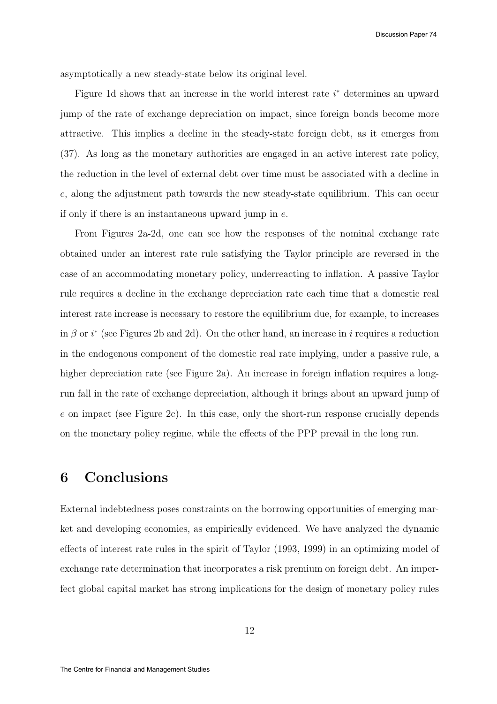asymptotically a new steady-state below its original level.

Figure 1d shows that an increase in the world interest rate  $i^*$  determines an upward jump of the rate of exchange depreciation on impact, since foreign bonds become more attractive. This implies a decline in the steady-state foreign debt, as it emerges from (37). As long as the monetary authorities are engaged in an active interest rate policy, the reduction in the level of external debt over time must be associated with a decline in e, along the adjustment path towards the new steady-state equilibrium. This can occur if only if there is an instantaneous upward jump in e.

From Figures 2a-2d, one can see how the responses of the nominal exchange rate obtained under an interest rate rule satisfying the Taylor principle are reversed in the case of an accommodating monetary policy, underreacting to inflation. A passive Taylor rule requires a decline in the exchange depreciation rate each time that a domestic real interest rate increase is necessary to restore the equilibrium due, for example, to increases in  $\beta$  or  $i^*$  (see Figures 2b and 2d). On the other hand, an increase in i requires a reduction in the endogenous component of the domestic real rate implying, under a passive rule, a higher depreciation rate (see Figure 2a). An increase in foreign inflation requires a longrun fall in the rate of exchange depreciation, although it brings about an upward jump of e on impact (see Figure 2c). In this case, only the short-run response crucially depends on the monetary policy regime, while the effects of the PPP prevail in the long run.

#### 6 Conclusions

External indebtedness poses constraints on the borrowing opportunities of emerging market and developing economies, as empirically evidenced. We have analyzed the dynamic effects of interest rate rules in the spirit of Taylor (1993, 1999) in an optimizing model of exchange rate determination that incorporates a risk premium on foreign debt. An imperfect global capital market has strong implications for the design of monetary policy rules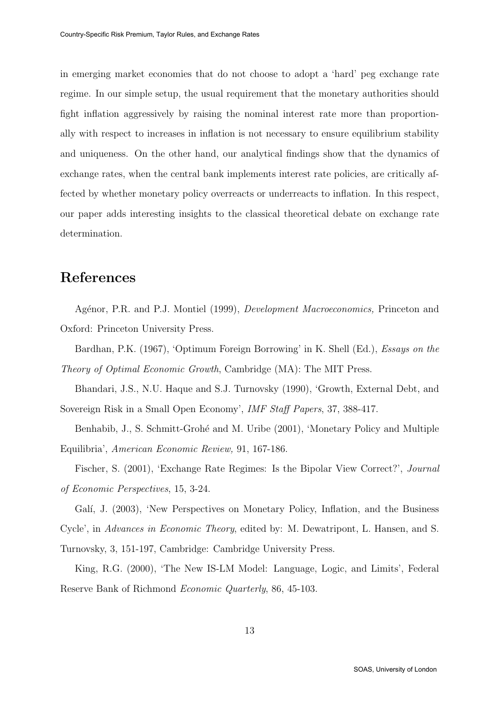in emerging market economies that do not choose to adopt a 'hard' peg exchange rate regime. In our simple setup, the usual requirement that the monetary authorities should fight inflation aggressively by raising the nominal interest rate more than proportionally with respect to increases in inflation is not necessary to ensure equilibrium stability and uniqueness. On the other hand, our analytical findings show that the dynamics of exchange rates, when the central bank implements interest rate policies, are critically affected by whether monetary policy overreacts or underreacts to inflation. In this respect, our paper adds interesting insights to the classical theoretical debate on exchange rate determination.

### References

Agénor, P.R. and P.J. Montiel (1999), *Development Macroeconomics*, Princeton and Oxford: Princeton University Press.

Bardhan, P.K. (1967), 'Optimum Foreign Borrowing' in K. Shell (Ed.), Essays on the Theory of Optimal Economic Growth, Cambridge (MA): The MIT Press.

Bhandari, J.S., N.U. Haque and S.J. Turnovsky (1990), 'Growth, External Debt, and Sovereign Risk in a Small Open Economy', IMF Staff Papers, 37, 388-417.

Benhabib, J., S. Schmitt-Grohé and M. Uribe (2001), 'Monetary Policy and Multiple Equilibria', American Economic Review, 91, 167-186.

Fischer, S. (2001), 'Exchange Rate Regimes: Is the Bipolar View Correct?', Journal of Economic Perspectives, 15, 3-24.

Galí, J. (2003), 'New Perspectives on Monetary Policy, Inflation, and the Business

Cycle', in Advances in Economic Theory, edited by: M. Dewatripont, L. Hansen, and S.

Turnovsky, 3, 151-197, Cambridge: Cambridge University Press.

King, R.G. (2000), 'The New IS-LM Model: Language, Logic, and Limits', Federal Reserve Bank of Richmond Economic Quarterly, 86, 45-103.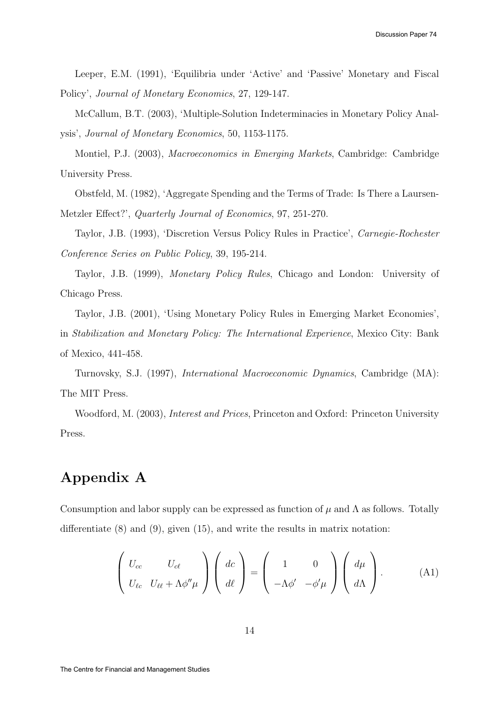Leeper, E.M. (1991), 'Equilibria under 'Active' and 'Passive' Monetary and Fiscal Policy', Journal of Monetary Economics, 27, 129-147.

McCallum, B.T. (2003), 'Multiple-Solution Indeterminacies in Monetary Policy Analysis', Journal of Monetary Economics, 50, 1153-1175.

Montiel, P.J. (2003), Macroeconomics in Emerging Markets, Cambridge: Cambridge University Press.

Obstfeld, M. (1982), 'Aggregate Spending and the Terms of Trade: Is There a Laursen-Metzler Effect?', Quarterly Journal of Economics, 97, 251-270.

Taylor, J.B. (1993), 'Discretion Versus Policy Rules in Practice', Carnegie-Rochester Conference Series on Public Policy, 39, 195-214.

Taylor, J.B. (1999), Monetary Policy Rules, Chicago and London: University of Chicago Press.

Taylor, J.B. (2001), 'Using Monetary Policy Rules in Emerging Market Economies', in Stabilization and Monetary Policy: The International Experience, Mexico City: Bank

Turnovsky, S.J. (1997), International Macroeconomic Dynamics, Cambridge (MA): The MIT Press.

Woodford, M. (2003), Interest and Prices, Princeton and Oxford: Princeton University Press.

### Appendix A

of Mexico, 441-458.

Consumption and labor supply can be expressed as function of  $\mu$  and  $\Lambda$  as follows. Totally differentiate (8) and (9), given (15), and write the results in matrix notation:

$$
\left(\begin{array}{cc} U_{cc} & U_{c\ell} \\ U_{\ell c} & U_{\ell\ell} + \Lambda \phi'' \mu \end{array}\right) \left(\begin{array}{c} dc \\ d\ell \end{array}\right) = \left(\begin{array}{cc} 1 & 0 \\ -\Lambda \phi' & -\phi' \mu \end{array}\right) \left(\begin{array}{c} d\mu \\ d\Lambda \end{array}\right). \tag{A1}
$$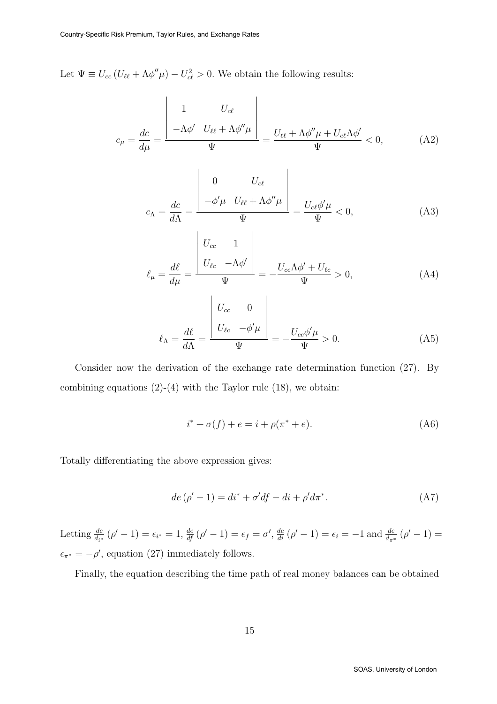Let  $\Psi \equiv U_{cc} (U_{\ell\ell} + \Lambda \phi'' \mu) - U_{c\ell}^2 > 0$ . We obtain the following results:

$$
c_{\mu} = \frac{dc}{d\mu} = \frac{\begin{vmatrix} 1 & U_{c\ell} \\ -\Lambda \phi' & U_{\ell\ell} + \Lambda \phi'' \mu \end{vmatrix}}{\Psi} = \frac{U_{\ell\ell} + \Lambda \phi'' \mu + U_{c\ell} \Lambda \phi'}{\Psi} < 0, \tag{A2}
$$

$$
c_{\Lambda} = \frac{dc}{d\Lambda} = \frac{\begin{vmatrix} 0 & U_{c\ell} \\ -\phi'\mu & U_{\ell\ell} + \Lambda\phi''\mu \end{vmatrix}}{\Psi} = \frac{U_{c\ell}\phi'\mu}{\Psi} < 0,
$$
 (A3)

$$
\ell_{\mu} = \frac{d\ell}{d\mu} = \frac{\begin{vmatrix} U_{cc} & 1 \\ U_{\ell c} & -\Lambda \phi' \end{vmatrix}}{\Psi} = -\frac{U_{cc}\Lambda \phi' + U_{\ell c}}{\Psi} > 0,
$$
\n(A4)

$$
\ell_{\Lambda} = \frac{d\ell}{d\Lambda} = \frac{\begin{vmatrix} U_{cc} & 0 \\ U_{\ell c} & -\phi'\mu \end{vmatrix}}{\Psi} = -\frac{U_{cc}\phi'\mu}{\Psi} > 0.
$$
 (A5)

Consider now the derivation of the exchange rate determination function (27). By combining equations  $(2)-(4)$  with the Taylor rule  $(18)$ , we obtain:

$$
i^* + \sigma(f) + e = i + \rho(\pi^* + e). \tag{A6}
$$

Totally differentiating the above expression gives:

$$
de\left(\rho'-1\right) = di^* + \sigma'df - di + \rho'd\pi^*.
$$
 (A7)

Letting  $\frac{de}{d_{i^*}}(\rho' - 1) = \epsilon_{i^*} = 1$ ,  $\frac{de}{df}(\rho' - 1) = \epsilon_f = \sigma'$ ,  $\frac{de}{di}(\rho' - 1) = \epsilon_i = -1$  and  $\frac{de}{d_{\pi^*}}(\rho' - 1) =$  $\epsilon_{\pi^*} = -\rho'$ , equation (27) immediately follows.

Finally, the equation describing the time path of real money balances can be obtained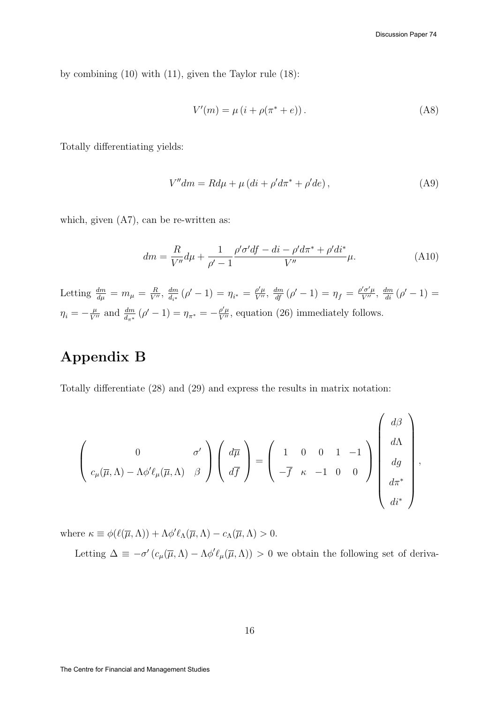,

by combining (10) with (11), given the Taylor rule (18):

$$
V'(m) = \mu (i + \rho(\pi^* + e)).
$$
 (A8)

Totally differentiating yields:

$$
V''dm = Rd\mu + \mu (di + \rho'd\pi^* + \rho'de), \qquad (A9)
$$

which, given  $(A7)$ , can be re-written as:

$$
dm = \frac{R}{V''}d\mu + \frac{1}{\rho' - 1} \frac{\rho' \sigma' df - di - \rho' d\pi^* + \rho' di^*}{V''} \mu.
$$
 (A10)

Letting  $\frac{dm}{d\mu} = m_{\mu} = \frac{R}{V''}, \frac{dm}{d_{i^*}}$  $\frac{dm}{d_{i^*}}(\rho'-1) = \eta_{i^*} = \frac{\rho'\mu}{V''}, \frac{dm}{df}(\rho'-1) = \eta_f = \frac{\rho'\sigma'\mu}{V''}, \frac{dm}{di}(\rho'-1) =$  $\eta_i = -\frac{\mu}{V''}$  and  $\frac{dm}{d_{\pi^*}}(\rho' - 1) = \eta_{\pi^*} = -\frac{\rho'\mu}{V''}$ , equation (26) immediately follows.

## Appendix B

Totally differentiate (28) and (29) and express the results in matrix notation:

$$
\left(\begin{array}{cc}0&\sigma'\\c_{\mu}(\overline{\mu},\Lambda)-\Lambda\phi'\ell_{\mu}(\overline{\mu},\Lambda)&\beta\end{array}\right)\left(\begin{array}{c}\displaystyle d\overline{\mu}\\d\overline{f}\end{array}\right)=\left(\begin{array}{ccc}1&0&0&1&-1\\-\overline{f}&\kappa&-1&0&0\end{array}\right)\left(\begin{array}{c}d\beta\\d\Lambda\\d g\\d\pi^{*}\\di^{*}\end{array}\right)
$$

where  $\kappa \equiv \phi(\ell(\overline{\mu}, \Lambda)) + \Lambda \phi' \ell_{\Lambda}(\overline{\mu}, \Lambda) - c_{\Lambda}(\overline{\mu}, \Lambda) > 0.$ 

Letting  $\Delta \equiv -\sigma' (c_\mu(\overline{\mu}, \Lambda) - \Lambda \phi' \ell_\mu(\overline{\mu}, \Lambda)) > 0$  we obtain the following set of deriva-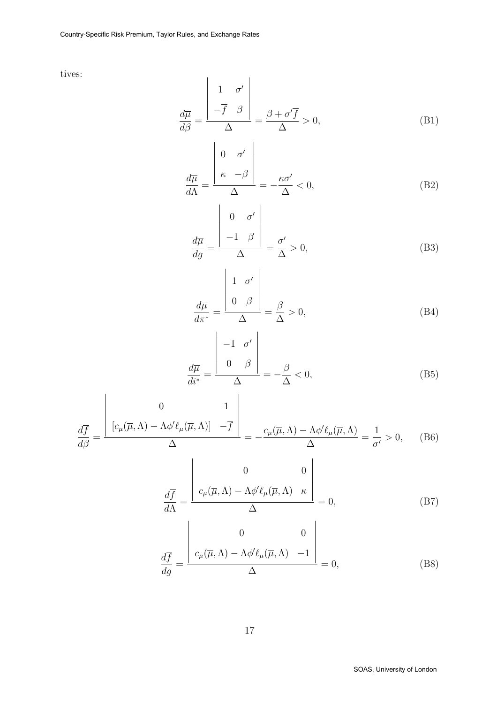tives:

$$
\frac{d\overline{\mu}}{d\beta} = \frac{\begin{vmatrix} 1 & \sigma' \\ -\overline{f} & \beta \end{vmatrix}}{\Delta} = \frac{\beta + \sigma'\overline{f}}{\Delta} > 0,
$$
\n(B1)

$$
\frac{d\overline{\mu}}{d\Lambda} = \frac{\begin{vmatrix} 0 & \sigma' \\ \kappa & -\beta \end{vmatrix}}{\Delta} = -\frac{\kappa \sigma'}{\Delta} < 0,\tag{B2}
$$

$$
\frac{d\overline{\mu}}{dg} = \frac{\begin{vmatrix} 0 & \sigma' \\ -1 & \beta \end{vmatrix}}{\Delta} = \frac{\sigma'}{\Delta} > 0,
$$
\n(B3)

$$
\frac{d\overline{\mu}}{d\pi^*} = \frac{\begin{vmatrix} 1 & \sigma' \\ 0 & \beta \end{vmatrix}}{\Delta} = \frac{\beta}{\Delta} > 0,
$$
\n(B4)

$$
\frac{d\overline{\mu}}{di^*} = \frac{\begin{vmatrix} -1 & \sigma' \\ 0 & \beta \end{vmatrix}}{\Delta} = -\frac{\beta}{\Delta} < 0,
$$
\n(B5)

$$
\frac{d\overline{f}}{d\beta} = \frac{\begin{vmatrix} 0 & 1\\ \frac{c_{\mu}(\overline{\mu}, \Lambda) - \Lambda \phi' \ell_{\mu}(\overline{\mu}, \Lambda) \end{vmatrix} - \overline{f}}{\Delta} = -\frac{c_{\mu}(\overline{\mu}, \Lambda) - \Lambda \phi' \ell_{\mu}(\overline{\mu}, \Lambda)}{\Delta} = \frac{1}{\sigma'} > 0, \quad (B6)
$$

$$
\frac{d\overline{f}}{d\Lambda} = \frac{\begin{vmatrix} 0 & 0 \\ c_{\mu}(\overline{\mu}, \Lambda) - \Lambda \phi' \ell_{\mu}(\overline{\mu}, \Lambda) & \kappa \end{vmatrix}}{\Delta} = 0, \tag{B7}
$$

$$
\frac{d\overline{f}}{dg} = \frac{\begin{vmatrix} 0 & 0 \\ c_{\mu}(\overline{\mu}, \Lambda) - \Lambda \phi' \ell_{\mu}(\overline{\mu}, \Lambda) & -1 \end{vmatrix}}{\Delta} = 0,
$$
\n(B8)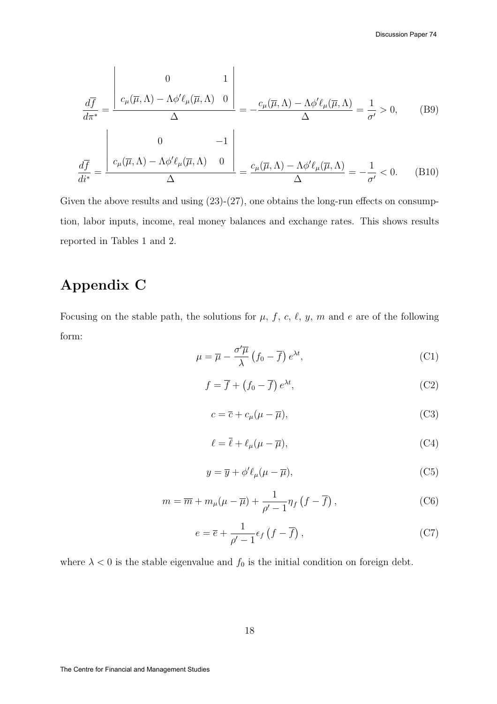$$
\frac{d\overline{f}}{d\pi^*} = \frac{\begin{vmatrix} 0 & 1 \\ c_{\mu}(\overline{\mu}, \Lambda) - \Lambda \phi' \ell_{\mu}(\overline{\mu}, \Lambda) & 0 \end{vmatrix}}{\Delta} = -\frac{c_{\mu}(\overline{\mu}, \Lambda) - \Lambda \phi' \ell_{\mu}(\overline{\mu}, \Lambda)}{\Delta} = \frac{1}{\sigma'} > 0, \quad (B9)
$$

$$
\frac{d\overline{f}}{di^*} = \frac{\begin{vmatrix} 0 & -1 \\ c_{\mu}(\overline{\mu}, \Lambda) - \Lambda \phi' \ell_{\mu}(\overline{\mu}, \Lambda) & 0 \end{vmatrix}}{\Delta} = \frac{c_{\mu}(\overline{\mu}, \Lambda) - \Lambda \phi' \ell_{\mu}(\overline{\mu}, \Lambda)}{\Delta} = -\frac{1}{\sigma'} < 0. \quad (B10)
$$

Given the above results and using  $(23)-(27)$ , one obtains the long-run effects on consumption, labor inputs, income, real money balances and exchange rates. This shows results reported in Tables 1 and 2.

## Appendix C

Focusing on the stable path, the solutions for  $\mu$ , f, c,  $\ell$ , y, m and e are of the following form:

$$
\mu = \overline{\mu} - \frac{\sigma'\overline{\mu}}{\lambda} \left(f_0 - \overline{f}\right) e^{\lambda t},\tag{C1}
$$

$$
f = \overline{f} + (f_0 - \overline{f}) e^{\lambda t}, \tag{C2}
$$

$$
c = \overline{c} + c_{\mu}(\mu - \overline{\mu}), \tag{C3}
$$

$$
\ell = \overline{\ell} + \ell_{\mu}(\mu - \overline{\mu}), \tag{C4}
$$

$$
y = \overline{y} + \phi' \ell_{\mu} (\mu - \overline{\mu}), \tag{C5}
$$

$$
m = \overline{m} + m_{\mu}(\mu - \overline{\mu}) + \frac{1}{\rho' - 1} \eta_f \left( f - \overline{f} \right), \tag{C6}
$$

$$
e = \overline{e} + \frac{1}{\rho' - 1} \epsilon_f \left( f - \overline{f} \right), \tag{C7}
$$

where  $\lambda < 0$  is the stable eigenvalue and  $f_0$  is the initial condition on foreign debt.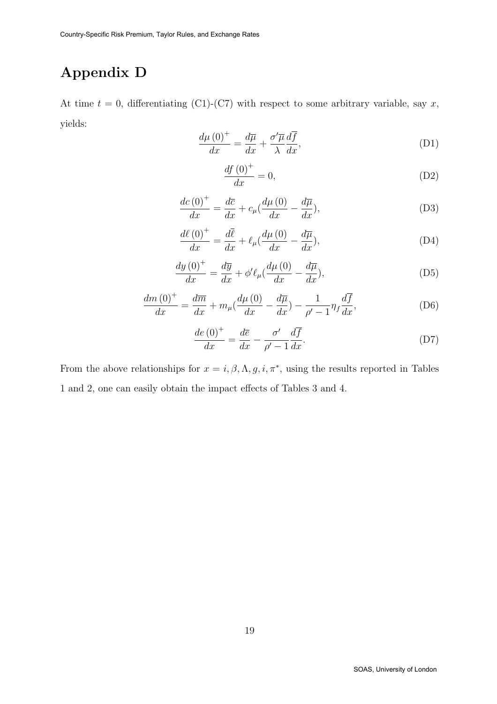# Appendix D

At time  $t = 0$ , differentiating (C1)-(C7) with respect to some arbitrary variable, say x, yields:

$$
\frac{d\mu\left(0\right)^{+}}{dx} = \frac{d\overline{\mu}}{dx} + \frac{\sigma'\overline{\mu}}{\lambda}\frac{d\overline{f}}{dx},\tag{D1}
$$

$$
\frac{df(0)^{+}}{dx} = 0,\tag{D2}
$$

$$
\frac{dc\left(0\right)^{+}}{dx} = \frac{d\overline{c}}{dx} + c_{\mu}\left(\frac{d\mu\left(0\right)}{dx} - \frac{d\overline{\mu}}{dx}\right),\tag{D3}
$$

$$
\frac{d\ell\left(0\right)^{+}}{dx} = \frac{d\overline{\ell}}{dx} + \ell_{\mu} \left(\frac{d\mu\left(0\right)}{dx} - \frac{d\overline{\mu}}{dx}\right),\tag{D4}
$$

$$
\frac{dy\left(0\right)^{+}}{dx} = \frac{d\overline{y}}{dx} + \phi'\ell_{\mu}\left(\frac{d\mu\left(0\right)}{dx} - \frac{d\overline{\mu}}{dx}\right),\tag{D5}
$$

$$
\frac{dm\left(0\right)^{+}}{dx} = \frac{d\overline{m}}{dx} + m_{\mu}\left(\frac{d\mu\left(0\right)}{dx} - \frac{d\overline{\mu}}{dx}\right) - \frac{1}{\rho' - 1}\eta_{f}\frac{d\overline{f}}{dx},\tag{D6}
$$

$$
\frac{de\left(0\right)^{+}}{dx} = \frac{d\overline{e}}{dx} - \frac{\sigma'}{\rho' - 1}\frac{d\overline{f}}{dx}.
$$
\n(D7)

From the above relationships for  $x = i, \beta, \Lambda, g, i, \pi^*$ , using the results reported in Tables 1 and 2, one can easily obtain the impact effects of Tables 3 and 4.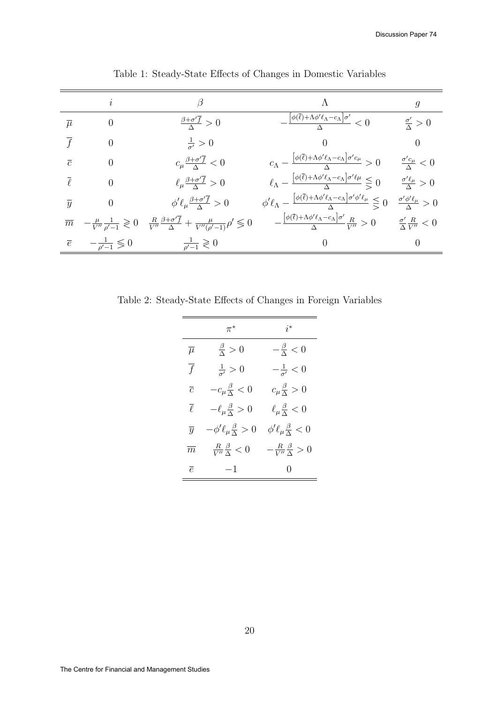|                  |                                            | $\beta$                                                                                                                                                | Λ                                                                                                                                                        | $\mathfrak{g}$                              |
|------------------|--------------------------------------------|--------------------------------------------------------------------------------------------------------------------------------------------------------|----------------------------------------------------------------------------------------------------------------------------------------------------------|---------------------------------------------|
| $\overline{\mu}$ | $\theta$                                   | $\frac{\beta+\sigma'\overline{f}}{\Delta}>0$                                                                                                           | $-\frac{\left[\phi(\overline{\ell})+\Lambda\phi'\ell_{\Lambda}-c_{\Lambda}\right]\sigma'}{\Delta}<0$                                                     | $\frac{\sigma'}{\Delta} > 0$                |
|                  | $\Omega$                                   | $\frac{1}{\sigma'} > 0$                                                                                                                                | 0                                                                                                                                                        | $\theta$                                    |
| $\overline{c}$   |                                            | $c_{\mu} \frac{\beta + \sigma' \overline{f}}{\Delta} < 0$                                                                                              | $c_{\Lambda}-\frac{[\phi(\overline{\ell})+\Lambda\phi'\ell_{\Lambda}-c_{\Lambda}]\sigma'c_{\mu}}{\Delta}>0$                                              | $\frac{\sigma' c_\mu}{\Delta} < 0$          |
|                  | $\Omega$                                   | $\ell_{\mu} \frac{\beta + \sigma' \overline{f}}{\Delta} > 0$                                                                                           | $\ell_{\Lambda}-\frac{[\phi(\overline{\ell})+\Lambda\phi'\ell_{\Lambda}-c_{\Lambda}]\sigma'\ell\mu}{\Lambda}\leq 0$                                      | $\frac{\sigma'\ell_\mu}{\Lambda} > 0$       |
| $\overline{y}$   | $\theta$                                   | $\phi' \ell_\mu \frac{\beta + \sigma' \overline{f}}{\Delta} > 0$                                                                                       | $\phi' \ell_{\Lambda} - \frac{\left[\phi(\overline{\ell}) + \Lambda \phi' \ell_{\Lambda} - c_{\Lambda}\right] \sigma' \phi' \ell_{\mu}}{\Lambda} \leq 0$ | $\frac{\sigma' \phi' \ell_\mu}{\Delta} > 0$ |
| $\overline{m}$   |                                            | $-\tfrac{\mu}{V''}\tfrac{1}{\rho'-1}\gtrless 0 \quad \tfrac{R}{V''}\tfrac{\beta+\sigma'\overline{f}}{\Delta}+\tfrac{\mu}{V''(\rho'-1)}\rho'\lessgtr 0$ | $-\frac{\left[\phi(\overline{\ell})+\Lambda\phi'\ell_{\Lambda}-c_{\Lambda}\right]\sigma'}{\Lambda}\frac{R}{V''}>0$                                       | $\frac{\sigma'}{\Delta} \frac{R}{V''} < 0$  |
|                  | $\overline{e}$ $-\frac{1}{\rho'-1} \leq 0$ | $\frac{1}{\rho'-1}\geqslant 0$                                                                                                                         | $\theta$                                                                                                                                                 | $\theta$                                    |

Table 1: Steady-State Effects of Changes in Domestic Variables

Table 2: Steady-State Effects of Changes in Foreign Variables

|                   | $\pi^*$                                   | $i^*$                                  |
|-------------------|-------------------------------------------|----------------------------------------|
| $\overline{\mu}$  | $\frac{\beta}{\Delta} > 0$                | $-\frac{\beta}{\Delta} < 0$            |
| $\overline{f}$    | $\frac{1}{\sigma'} > 0$                   | $-\frac{1}{\sigma'} < 0$               |
| $\overline{c}$    | $-c_{\mu}\frac{\beta}{\Delta}<0$          | $c_{\mu} \frac{\beta}{\Lambda} > 0$    |
| $\overline{\ell}$ | $-\ell_{\mu}\frac{\beta}{\Delta} > 0$     | $\ell_{\mu} \frac{\beta}{\Delta} < 0$  |
| $\overline{y}$    | $-\phi'\ell_\mu\frac{\beta}{\Lambda} > 0$ | $\phi'\ell_\mu\frac{\beta}{\Delta}<0$  |
| $\overline{m}$    | $\frac{R}{V''} \frac{\beta}{\Delta} < 0$  | $-\frac{R}{V''}\frac{\beta}{\Delta}>0$ |
| $\overline{e}$    | $-1$                                      | $\left( \right)$                       |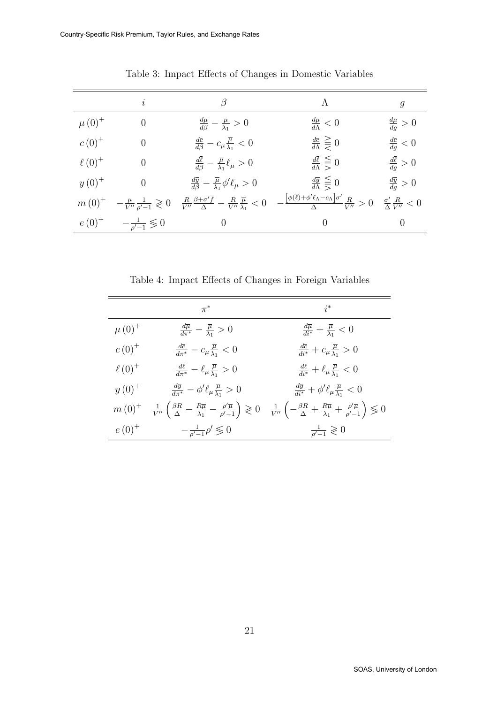|               | $\dot{i}$                                            |                                                                                                                  | $\Lambda$                                                                                                                                           | 9                                 |
|---------------|------------------------------------------------------|------------------------------------------------------------------------------------------------------------------|-----------------------------------------------------------------------------------------------------------------------------------------------------|-----------------------------------|
| $\mu(0)^{+}$  | $\theta$                                             | $\frac{d\overline{\mu}}{d\beta}-\frac{\overline{\mu}}{\lambda_1}>0$                                              | $\frac{d\overline{\mu}}{d\Lambda}<0$                                                                                                                | $\frac{d\overline{\mu}}{da} > 0$  |
| $c(0)^{+}$    | $\theta$                                             | $\frac{d\overline{c}}{d\beta}-c_{\mu}\frac{\overline{\mu}}{\lambda_1}<0$                                         | $\frac{d\bar{c}}{d\Lambda}\geq 0$                                                                                                                   | $\frac{d\overline{c}}{da} < 0$    |
| $\ell(0)^{+}$ | $\theta$                                             | $\frac{d\bar{\ell}}{d\beta}-\frac{\bar{\mu}}{\lambda_1}\ell_{\mu}>0$                                             | $\frac{d\overline{\ell}}{d\Lambda} \leq 0$                                                                                                          | $\frac{d\overline{\ell}}{dq} > 0$ |
| $y(0)^{+}$    |                                                      | $\frac{d\overline{y}}{d\beta}-\frac{\overline{\mu}}{\lambda_1}\phi'\ell_\mu>0$                                   | $\frac{d\overline{y}}{d\Lambda} \leq 0$                                                                                                             | $\frac{d\overline{y}}{dg} > 0$    |
|               | $m(0)^{+}$ $-\frac{\mu}{V''}\frac{1}{\rho'-1}\geq 0$ | $\frac{R}{V''} \frac{\beta + \sigma' \overline{f}}{\Delta} - \frac{R}{V''} \frac{\overline{\mu}}{\lambda_1} < 0$ | $-\frac{\left[\phi(\bar{\ell})+\phi'\ell_{\Lambda}-c_{\Lambda}\right]\sigma'}{\Lambda}\frac{R}{V''}>0 \quad \frac{\sigma'}{\Lambda}\frac{R}{V''}<0$ |                                   |
| $e(0)^+$      | $-\frac{1}{\rho'-1}\leqslant 0$                      | $\theta$                                                                                                         | $\left( \right)$                                                                                                                                    | 0                                 |

Table 3: Impact Effects of Changes in Domestic Variables

Table 4: Impact Effects of Changes in Foreign Variables

|               | $\pi^*$                                                                              | $i^*$                                                                                                                                                                                                                                                                   |
|---------------|--------------------------------------------------------------------------------------|-------------------------------------------------------------------------------------------------------------------------------------------------------------------------------------------------------------------------------------------------------------------------|
| $\mu(0)^{+}$  | $\frac{d\overline{\mu}}{d\pi^*} - \frac{\overline{\mu}}{\lambda_1} > 0$              | $\frac{d\overline{\mu}}{di^*} + \frac{\overline{\mu}}{\lambda_1} < 0$                                                                                                                                                                                                   |
| $c(0)^{+}$    | $\frac{d\overline{c}}{d\pi^*}-c_\mu\frac{\overline{\mu}}{\lambda_1}<0$               | $\frac{d\overline{c}}{di^*} + c_\mu \frac{\overline{\mu}}{\lambda_1} > 0$                                                                                                                                                                                               |
| $\ell(0)^{+}$ | $\frac{d\ell}{d\pi^*}-\ell_\mu\frac{\overline{\mu}}{\lambda_1}>0$                    | $\frac{d\ell}{di^*}+\ell_\mu\frac{\overline{\mu}}{\lambda_1}<0$                                                                                                                                                                                                         |
| $y(0)^{+}$    | $\frac{d\overline{y}}{d\pi^*} - \phi' \ell_\mu \frac{\overline{\mu}}{\lambda_1} > 0$ | $\frac{d\overline{y}}{di^*} + \phi' \ell_\mu \frac{\overline{\mu}}{\lambda_1} < 0$                                                                                                                                                                                      |
|               |                                                                                      | $m(0)^+$ $\frac{1}{V''}\left(\frac{\beta R}{\Delta}-\frac{R\overline{\mu}}{\lambda_1}-\frac{\rho'\overline{\mu}}{\rho'-1}\right)\geq 0$ $\frac{1}{V''}\left(-\frac{\beta R}{\Delta}+\frac{R\overline{\mu}}{\lambda_1}+\frac{\rho'\overline{\mu}}{\rho'-1}\right)\leq 0$ |
| $e(0)^{+}$    | $-\frac{1}{\rho'-1}\rho'\lessgtr 0$                                                  | $\frac{1}{\rho'-1}\geqslant 0$                                                                                                                                                                                                                                          |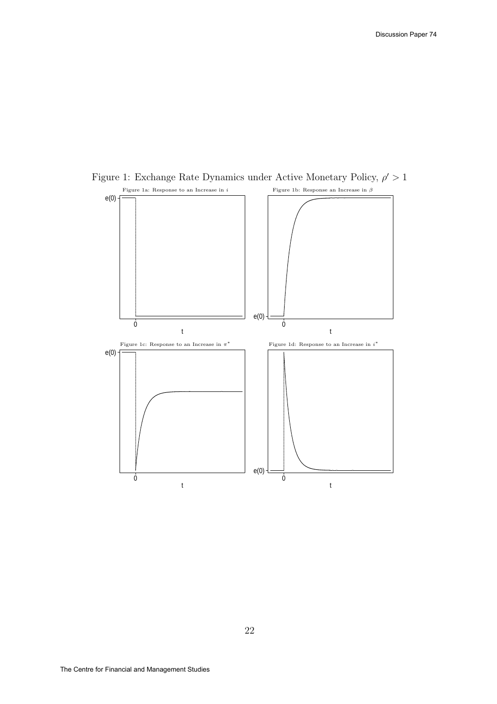

Figure 1: Exchange Rate Dynamics under Active Monetary Policy,  $\rho' > 1$